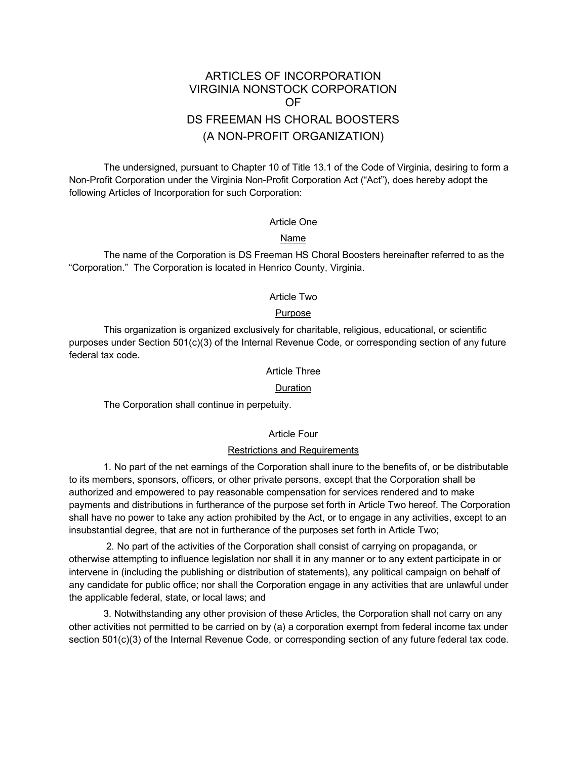# ARTICLES OF INCORPORATION VIRGINIA NONSTOCK CORPORATION OF DS FREEMAN HS CHORAL BOOSTERS (A NON-PROFIT ORGANIZATION)

The undersigned, pursuant to Chapter 10 of Title 13.1 of the Code of Virginia, desiring to form a Non-Profit Corporation under the Virginia Non-Profit Corporation Act ("Act"), does hereby adopt the following Articles of Incorporation for such Corporation:

# Article One

## Name

The name of the Corporation is DS Freeman HS Choral Boosters hereinafter referred to as the "Corporation." The Corporation is located in Henrico County, Virginia.

#### Article Two

#### Purpose

This organization is organized exclusively for charitable, religious, educational, or scientific purposes under Section 501(c)(3) of the Internal Revenue Code, or corresponding section of any future federal tax code.

#### Article Three

#### Duration

The Corporation shall continue in perpetuity.

#### Article Four

#### Restrictions and Requirements

1. No part of the net earnings of the Corporation shall inure to the benefits of, or be distributable to its members, sponsors, officers, or other private persons, except that the Corporation shall be authorized and empowered to pay reasonable compensation for services rendered and to make payments and distributions in furtherance of the purpose set forth in Article Two hereof. The Corporation shall have no power to take any action prohibited by the Act, or to engage in any activities, except to an insubstantial degree, that are not in furtherance of the purposes set forth in Article Two;

2. No part of the activities of the Corporation shall consist of carrying on propaganda, or otherwise attempting to influence legislation nor shall it in any manner or to any extent participate in or intervene in (including the publishing or distribution of statements), any political campaign on behalf of any candidate for public office; nor shall the Corporation engage in any activities that are unlawful under the applicable federal, state, or local laws; and

3. Notwithstanding any other provision of these Articles, the Corporation shall not carry on any other activities not permitted to be carried on by (a) a corporation exempt from federal income tax under section 501(c)(3) of the Internal Revenue Code, or corresponding section of any future federal tax code.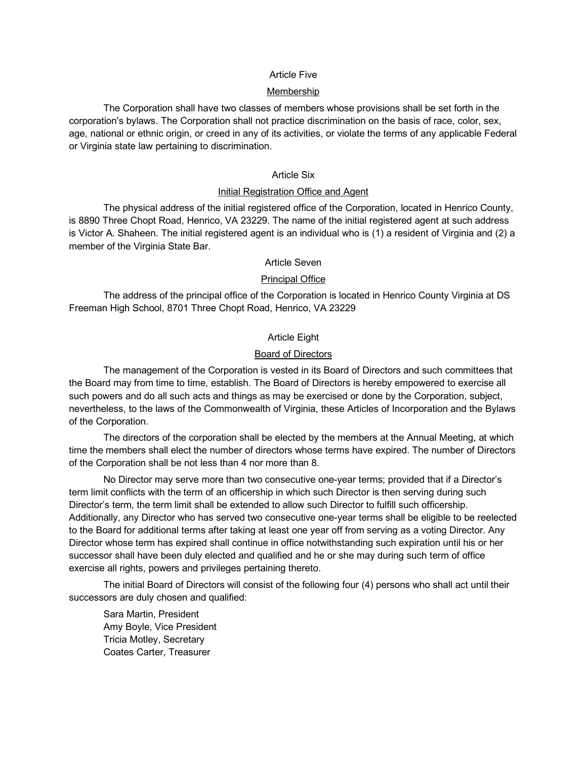# Article Five

#### Membership

The Corporation shall have two classes of members whose provisions shall be set forth in the corporation's bylaws. The Corporation shall not practice discrimination on the basis of race, color, sex, age, national or ethnic origin, or creed in any of its activities, or violate the terms of any applicable Federal or Virginia state law pertaining to discrimination.

### Article Six

# Initial Registration Office and Agent

The physical address of the initial registered office of the Corporation, located in Henrico County, is 8890 Three Chopt Road, Henrico, VA 23229. The name of the initial registered agent at such address is Victor A. Shaheen. The initial registered agent is an individual who is (1) a resident of Virginia and (2) a member of the Virginia State Bar.

#### Article Seven

## Principal Office

The address of the principal office of the Corporation is located in Henrico County Virginia at DS Freeman High School, 8701 Three Chopt Road, Henrico, VA 23229

# Article Eight

## Board of Directors

The management of the Corporation is vested in its Board of Directors and such committees that the Board may from time to time, establish. The Board of Directors is hereby empowered to exercise all such powers and do all such acts and things as may be exercised or done by the Corporation, subject, nevertheless, to the laws of the Commonwealth of Virginia, these Articles of Incorporation and the Bylaws of the Corporation.

The directors of the corporation shall be elected by the members at the Annual Meeting, at which time the members shall elect the number of directors whose terms have expired. The number of Directors of the Corporation shall be not less than 4 nor more than 8.

No Director may serve more than two consecutive one-year terms; provided that if a Director's term limit conflicts with the term of an officership in which such Director is then serving during such Director's term, the term limit shall be extended to allow such Director to fulfill such officership. Additionally, any Director who has served two consecutive one-year terms shall be eligible to be reelected to the Board for additional terms after taking at least one year off from serving as a voting Director. Any Director whose term has expired shall continue in office notwithstanding such expiration until his or her successor shall have been duly elected and qualified and he or she may during such term of office exercise all rights, powers and privileges pertaining thereto.

The initial Board of Directors will consist of the following four (4) persons who shall act until their successors are duly chosen and qualified:

Sara Martin, President Amy Boyle, Vice President Tricia Motley, Secretary Coates Carter, Treasurer